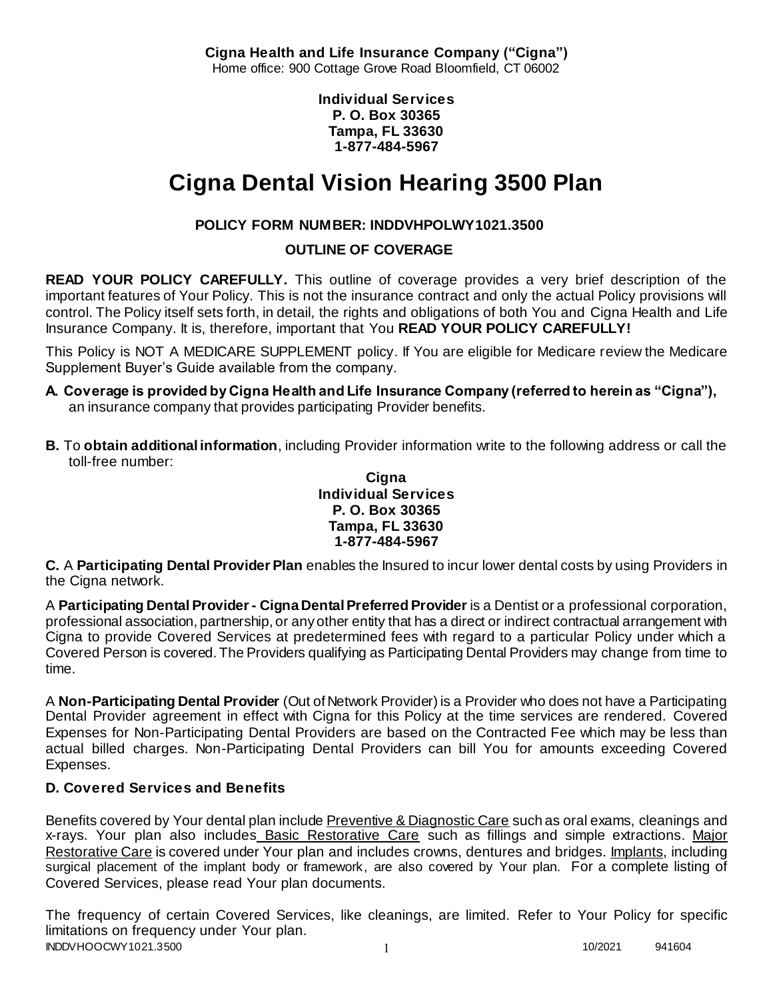**Cigna Health and Life Insurance Company ("Cigna")** Home office: 900 Cottage Grove Road Bloomfield, CT 06002

> **Individual Services P. O. Box 30365 Tampa, FL 33630 1-877-484-5967**

# **Cigna Dental Vision Hearing 3500 Plan**

# **POLICY FORM NUMBER: INDDVHPOLWY1021.3500**

**OUTLINE OF COVERAGE** 

**READ YOUR POLICY CAREFULLY.** This outline of coverage provides a very brief description of the important features of Your Policy. This is not the insurance contract and only the actual Policy provisions will control. The Policy itself sets forth, in detail, the rights and obligations of both You and Cigna Health and Life Insurance Company. It is, therefore, important that You **READ YOUR POLICY CAREFULLY!** 

This Policy is NOT A MEDICARE SUPPLEMENT policy. If You are eligible for Medicare review the Medicare Supplement Buyer's Guide available from the company.

- **A. Coverage is provided by Cigna Health and Life Insurance Company (referred to herein as "Cigna"),**  an insurance company that provides participating Provider benefits.
- **B.** To **obtain additional information**, including Provider information write to the following address or call the toll-free number:

#### **Cigna Individual Services P. O. Box 30365 Tampa, FL 33630 1-877-484-5967**

**C.** A **Participating Dental Provider Plan** enables the Insured to incur lower dental costs by using Providers in the Cigna network.

A **Participating Dental Provider - Cigna Dental Preferred Provider** is a Dentist or a professional corporation, professional association, partnership, or any other entity that has a direct or indirect contractual arrangement with Cigna to provide Covered Services at predetermined fees with regard to a particular Policy under which a Covered Person is covered. The Providers qualifying as Participating Dental Providers may change from time to time.

A **Non-Participating Dental Provider** (Out of Network Provider) is a Provider who does not have a Participating Dental Provider agreement in effect with Cigna for this Policy at the time services are rendered. Covered Expenses for Non-Participating Dental Providers are based on the Contracted Fee which may be less than actual billed charges. Non-Participating Dental Providers can bill You for amounts exceeding Covered Expenses.

# **D. Covered Services and Benefits**

Benefits covered by Your dental plan include Preventive & Diagnostic Care such as oral exams, cleanings and x-rays. Your plan also includes Basic Restorative Care such as fillings and simple extractions. Major Restorative Care is covered under Your plan and includes crowns, dentures and bridges. Implants, including surgical placement of the implant body or framework, are also covered by Your plan. For a complete listing of Covered Services, please read Your plan documents.

INDDVHOOCWY1021.3500 1 10/2021 941604 The frequency of certain Covered Services, like cleanings, are limited. Refer to Your Policy for specific limitations on frequency under Your plan.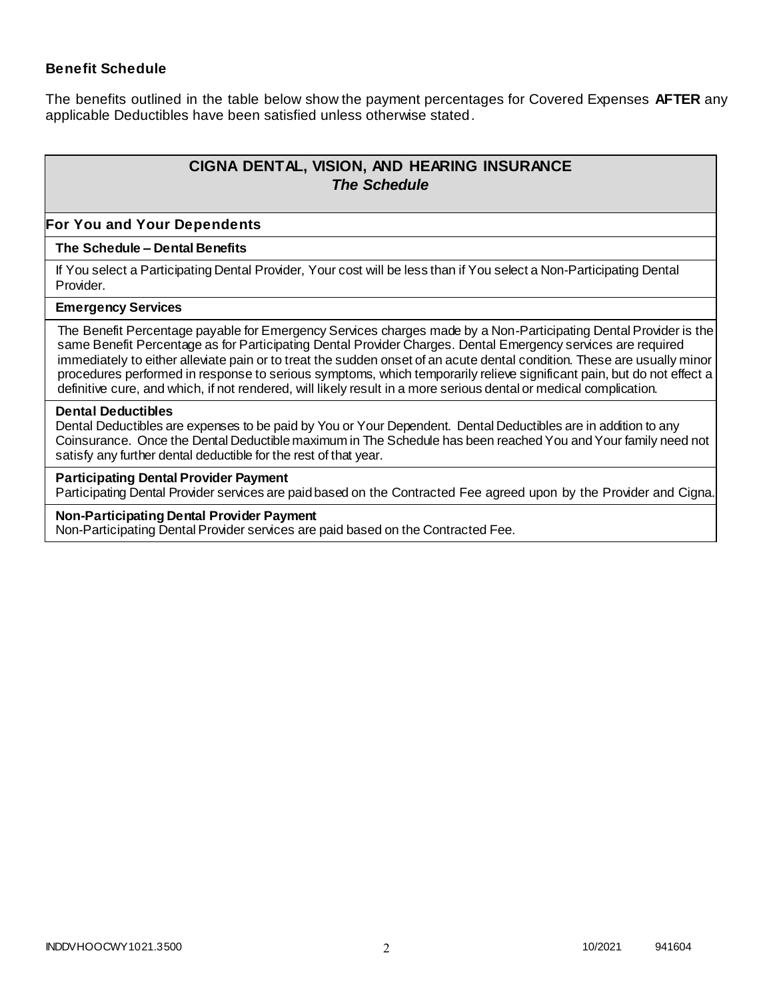## **Benefit Schedule**

The benefits outlined in the table below show the payment percentages for Covered Expenses **AFTER** any applicable Deductibles have been satisfied unless otherwise stated.

# **CIGNA DENTAL, VISION, AND HEARING INSURANCE** *The Schedule*

#### **For You and Your Dependents**

#### **The Schedule – Dental Benefits**

If You select a Participating Dental Provider, Your cost will be less than if You select a Non-Participating Dental Provider.

#### **Emergency Services**

The Benefit Percentage payable for Emergency Services charges made by a Non-Participating Dental Provider is the same Benefit Percentage as for Participating Dental Provider Charges. Dental Emergency services are required immediately to either alleviate pain or to treat the sudden onset of an acute dental condition. These are usually minor procedures performed in response to serious symptoms, which temporarily relieve significant pain, but do not effect a definitive cure, and which, if not rendered, will likely result in a more serious dental or medical complication.

#### **Dental Deductibles**

Dental Deductibles are expenses to be paid by You or Your Dependent. Dental Deductibles are in addition to any Coinsurance. Once the Dental Deductible maximum in The Schedule has been reached You and Your family need not satisfy any further dental deductible for the rest of that year.

#### **Participating Dental Provider Payment**

Participating Dental Provider services are paid based on the Contracted Fee agreed upon by the Provider and Cigna.

#### **Non-Participating Dental Provider Payment**

Non-Participating Dental Provider services are paid based on the Contracted Fee.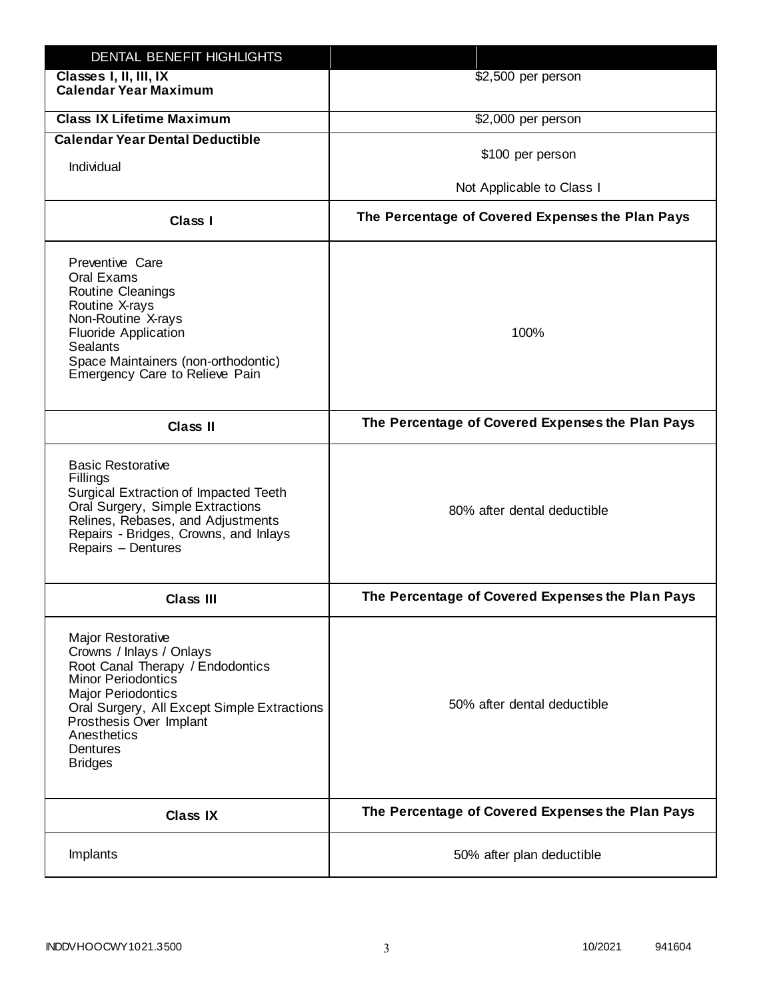| DENTAL BENEFIT HIGHLIGHTS                                                                                                                                                                                                                                                 |                                                  |
|---------------------------------------------------------------------------------------------------------------------------------------------------------------------------------------------------------------------------------------------------------------------------|--------------------------------------------------|
| Classes I, II, III, IX<br><b>Calendar Year Maximum</b>                                                                                                                                                                                                                    | \$2,500 per person                               |
| <b>Class IX Lifetime Maximum</b>                                                                                                                                                                                                                                          | \$2,000 per person                               |
| <b>Calendar Year Dental Deductible</b>                                                                                                                                                                                                                                    |                                                  |
| Individual                                                                                                                                                                                                                                                                | \$100 per person                                 |
|                                                                                                                                                                                                                                                                           | Not Applicable to Class I                        |
| Class I                                                                                                                                                                                                                                                                   | The Percentage of Covered Expenses the Plan Pays |
| Preventive Care<br>Oral Exams<br><b>Routine Cleanings</b><br>Routine X-rays<br>Non-Routine X-rays<br><b>Fluoride Application</b><br><b>Sealants</b><br>Space Maintainers (non-orthodontic)<br>Emergency Care to Relieve Pain                                              | 100%                                             |
| <b>Class II</b>                                                                                                                                                                                                                                                           | The Percentage of Covered Expenses the Plan Pays |
| <b>Basic Restorative</b><br>Fillings<br>Surgical Extraction of Impacted Teeth<br>Oral Surgery, Simple Extractions<br>Relines, Rebases, and Adjustments<br>Repairs - Bridges, Crowns, and Inlays<br>Repairs - Dentures                                                     | 80% after dental deductible                      |
| <b>Class III</b>                                                                                                                                                                                                                                                          | The Percentage of Covered Expenses the Plan Pays |
| <b>Major Restorative</b><br>Crowns / Inlays / Onlays<br>Root Canal Therapy / Endodontics<br><b>Minor Periodontics</b><br><b>Major Periodontics</b><br>Oral Surgery, All Except Simple Extractions<br>Prosthesis Over Implant<br>Anesthetics<br>Dentures<br><b>Bridges</b> | 50% after dental deductible                      |
| <b>Class IX</b>                                                                                                                                                                                                                                                           | The Percentage of Covered Expenses the Plan Pays |
| Implants                                                                                                                                                                                                                                                                  | 50% after plan deductible                        |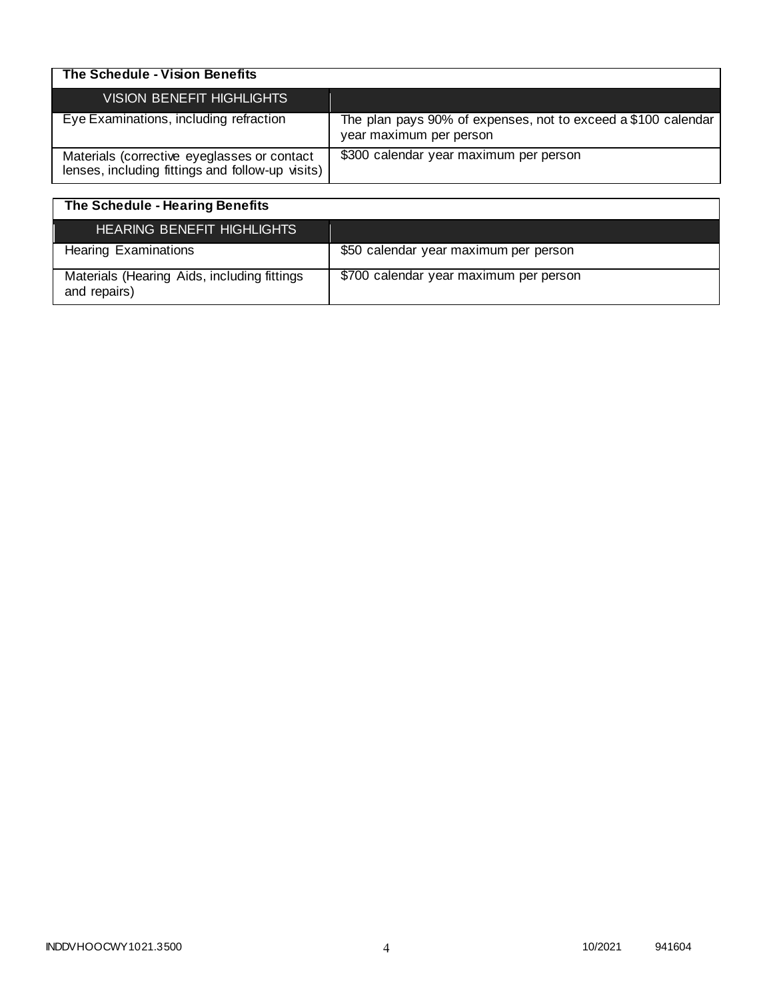| The Schedule - Vision Benefits                                                                  |                                                                                          |
|-------------------------------------------------------------------------------------------------|------------------------------------------------------------------------------------------|
| <b>VISION BENEFIT HIGHLIGHTS</b>                                                                |                                                                                          |
| Eye Examinations, including refraction                                                          | The plan pays 90% of expenses, not to exceed a \$100 calendar<br>year maximum per person |
| Materials (corrective eyeglasses or contact<br>lenses, including fittings and follow-up visits) | \$300 calendar year maximum per person                                                   |

| The Schedule - Hearing Benefits                             |                                        |
|-------------------------------------------------------------|----------------------------------------|
| <b>HEARING BENEFIT HIGHLIGHTS</b>                           |                                        |
| <b>Hearing Examinations</b>                                 | \$50 calendar year maximum per person  |
| Materials (Hearing Aids, including fittings<br>and repairs) | \$700 calendar year maximum per person |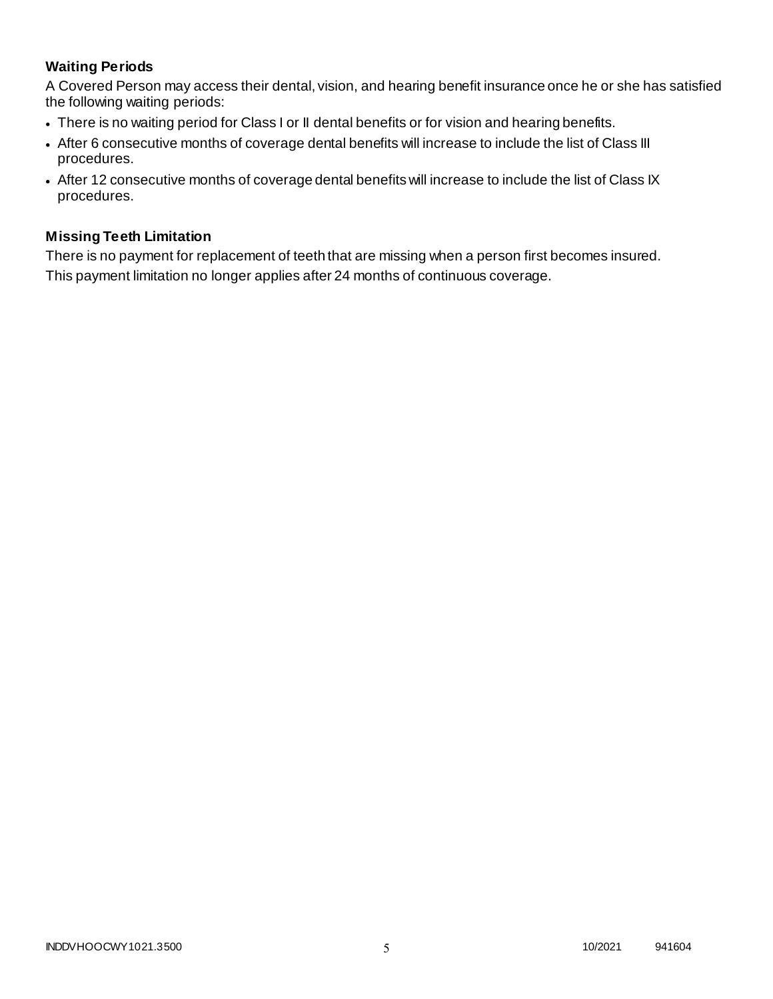# **Waiting Periods**

A Covered Person may access their dental, vision, and hearing benefit insurance once he or she has satisfied the following waiting periods:

- There is no waiting period for Class I or II dental benefits or for vision and hearing benefits.
- After 6 consecutive months of coverage dental benefits will increase to include the list of Class III procedures.
- After 12 consecutive months of coverage dental benefits will increase to include the list of Class IX procedures.

## **Missing Teeth Limitation**

There is no payment for replacement of teeth that are missing when a person first becomes insured. This payment limitation no longer applies after 24 months of continuous coverage.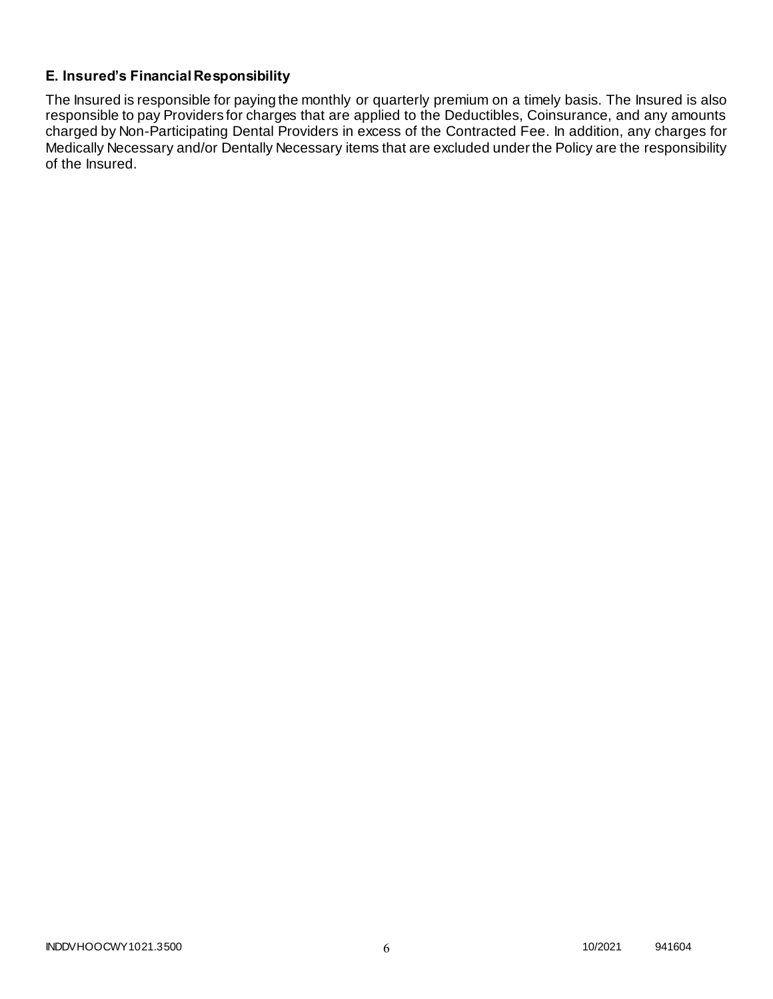# **E. Insured's Financial Responsibility**

The Insured is responsible for paying the monthly or quarterly premium on a timely basis. The Insured is also responsible to pay Providers for charges that are applied to the Deductibles, Coinsurance, and any amounts charged by Non-Participating Dental Providers in excess of the Contracted Fee. In addition, any charges for Medically Necessary and/or Dentally Necessary items that are excluded under the Policy are the responsibility of the Insured.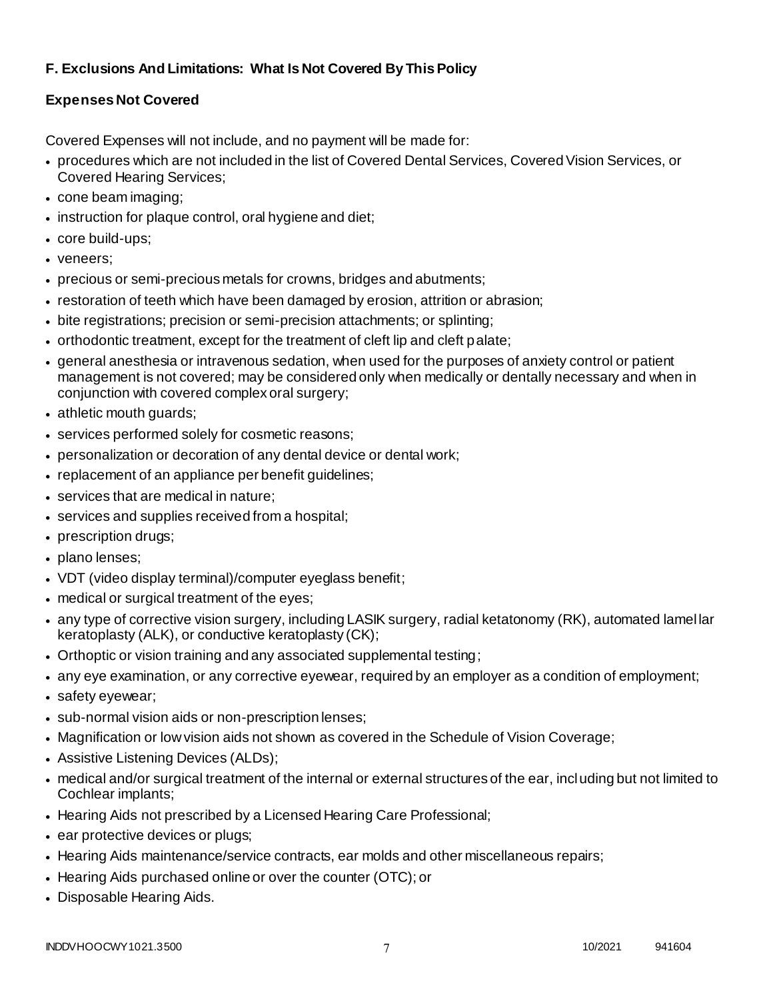# **F. Exclusions And Limitations: What Is Not Covered By This Policy**

# **Expenses Not Covered**

Covered Expenses will not include, and no payment will be made for:

- procedures which are not included in the list of Covered Dental Services, Covered Vision Services, or Covered Hearing Services;
- cone beam imaging;
- instruction for plaque control, oral hygiene and diet;
- core build-ups;
- veneers;
- precious or semi-precious metals for crowns, bridges and abutments;
- restoration of teeth which have been damaged by erosion, attrition or abrasion;
- bite registrations; precision or semi-precision attachments; or splinting;
- orthodontic treatment, except for the treatment of cleft lip and cleft palate;
- general anesthesia or intravenous sedation, when used for the purposes of anxiety control or patient management is not covered; may be considered only when medically or dentally necessary and when in conjunction with covered complex oral surgery;
- athletic mouth guards;
- services performed solely for cosmetic reasons;
- personalization or decoration of any dental device or dental work;
- replacement of an appliance per benefit guidelines;
- services that are medical in nature;
- services and supplies received from a hospital;
- prescription drugs;
- plano lenses;
- VDT (video display terminal)/computer eyeglass benefit;
- medical or surgical treatment of the eyes;
- any type of corrective vision surgery, including LASIK surgery, radial ketatonomy (RK), automated lamel lar keratoplasty (ALK), or conductive keratoplasty (CK);
- Orthoptic or vision training and any associated supplemental testing;
- any eye examination, or any corrective eyewear, required by an employer as a condition of employment;
- safety eyewear;
- sub-normal vision aids or non-prescription lenses;
- Magnification or low vision aids not shown as covered in the Schedule of Vision Coverage;
- Assistive Listening Devices (ALDs);
- medical and/or surgical treatment of the internal or external structures of the ear, including but not limited to Cochlear implants;
- Hearing Aids not prescribed by a Licensed Hearing Care Professional;
- ear protective devices or plugs;
- Hearing Aids maintenance/service contracts, ear molds and other miscellaneous repairs;
- Hearing Aids purchased online or over the counter (OTC); or
- Disposable Hearing Aids.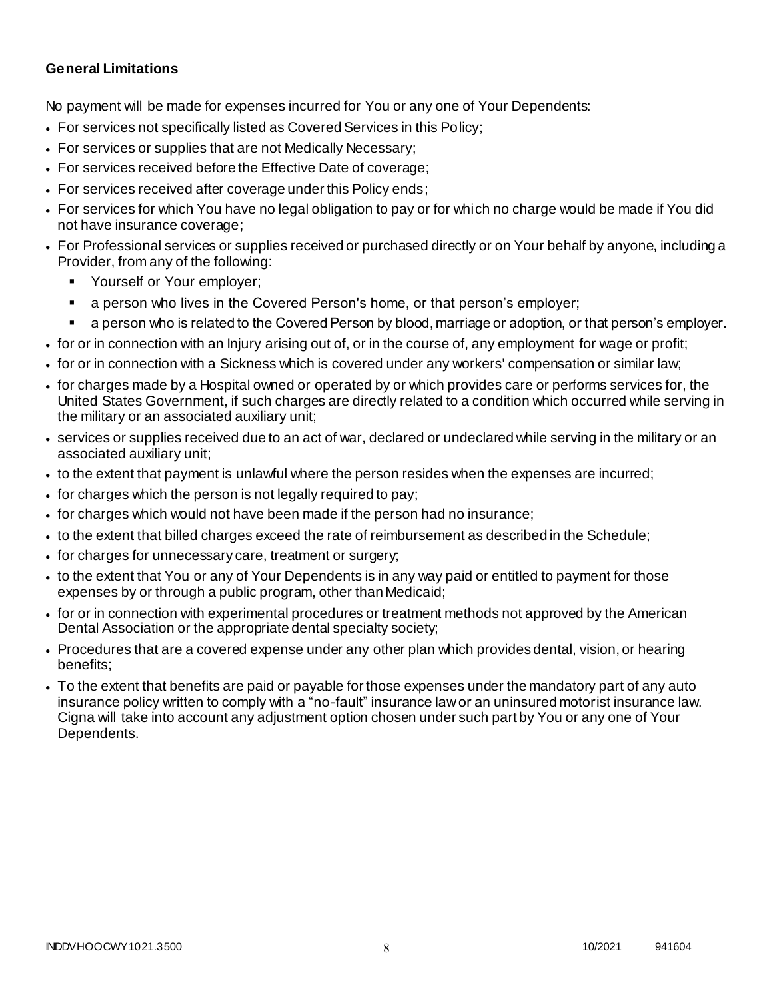## **General Limitations**

No payment will be made for expenses incurred for You or any one of Your Dependents:

- For services not specifically listed as Covered Services in this Policy;
- For services or supplies that are not Medically Necessary;
- For services received before the Effective Date of coverage;
- For services received after coverage under this Policy ends;
- For services for which You have no legal obligation to pay or for which no charge would be made if You did not have insurance coverage;
- For Professional services or supplies received or purchased directly or on Your behalf by anyone, including a Provider, from any of the following:
	- Yourself or Your employer;
	- a person who lives in the Covered Person's home, or that person's employer;
	- a person who is related to the Covered Person by blood, marriage or adoption, or that person's employer.
- for or in connection with an Injury arising out of, or in the course of, any employment for wage or profit;
- for or in connection with a Sickness which is covered under any workers' compensation or similar law;
- for charges made by a Hospital owned or operated by or which provides care or performs services for, the United States Government, if such charges are directly related to a condition which occurred while serving in the military or an associated auxiliary unit;
- services or supplies received due to an act of war, declared or undeclared while serving in the military or an associated auxiliary unit;
- to the extent that payment is unlawful where the person resides when the expenses are incurred;
- for charges which the person is not legally required to pay;
- for charges which would not have been made if the person had no insurance;
- to the extent that billed charges exceed the rate of reimbursement as described in the Schedule;
- for charges for unnecessary care, treatment or surgery;
- to the extent that You or any of Your Dependents is in any way paid or entitled to payment for those expenses by or through a public program, other than Medicaid;
- for or in connection with experimental procedures or treatment methods not approved by the American Dental Association or the appropriate dental specialty society;
- Procedures that are a covered expense under any other plan which provides dental, vision, or hearing benefits;
- To the extent that benefits are paid or payable for those expenses under the mandatory part of any auto insurance policy written to comply with a "no-fault" insurance law or an uninsured motorist insurance law. Cigna will take into account any adjustment option chosen under such part by You or any one of Your Dependents.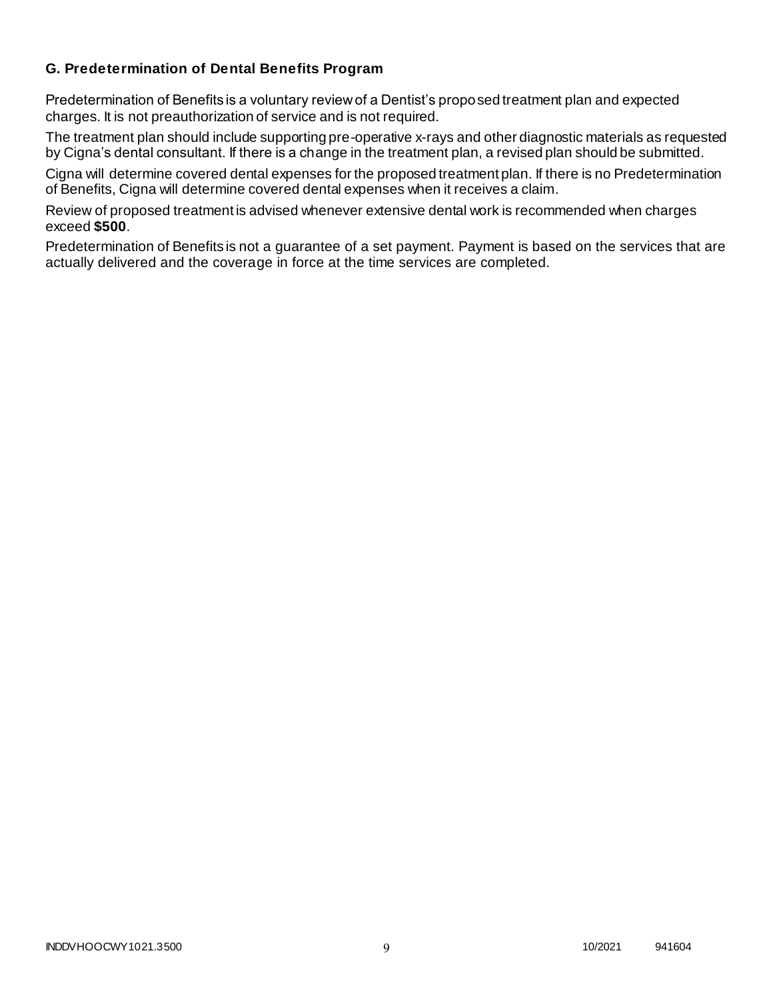## **G. Predetermination of Dental Benefits Program**

Predetermination of Benefits is a voluntary review of a Dentist's proposed treatment plan and expected charges. It is not preauthorization of service and is not required.

The treatment plan should include supporting pre-operative x-rays and other diagnostic materials as requested by Cigna's dental consultant. If there is a change in the treatment plan, a revised plan should be submitted.

Cigna will determine covered dental expenses for the proposed treatment plan. If there is no Predetermination of Benefits, Cigna will determine covered dental expenses when it receives a claim.

Review of proposed treatment is advised whenever extensive dental work is recommended when charges exceed **\$500**.

Predetermination of Benefits is not a guarantee of a set payment. Payment is based on the services that are actually delivered and the coverage in force at the time services are completed.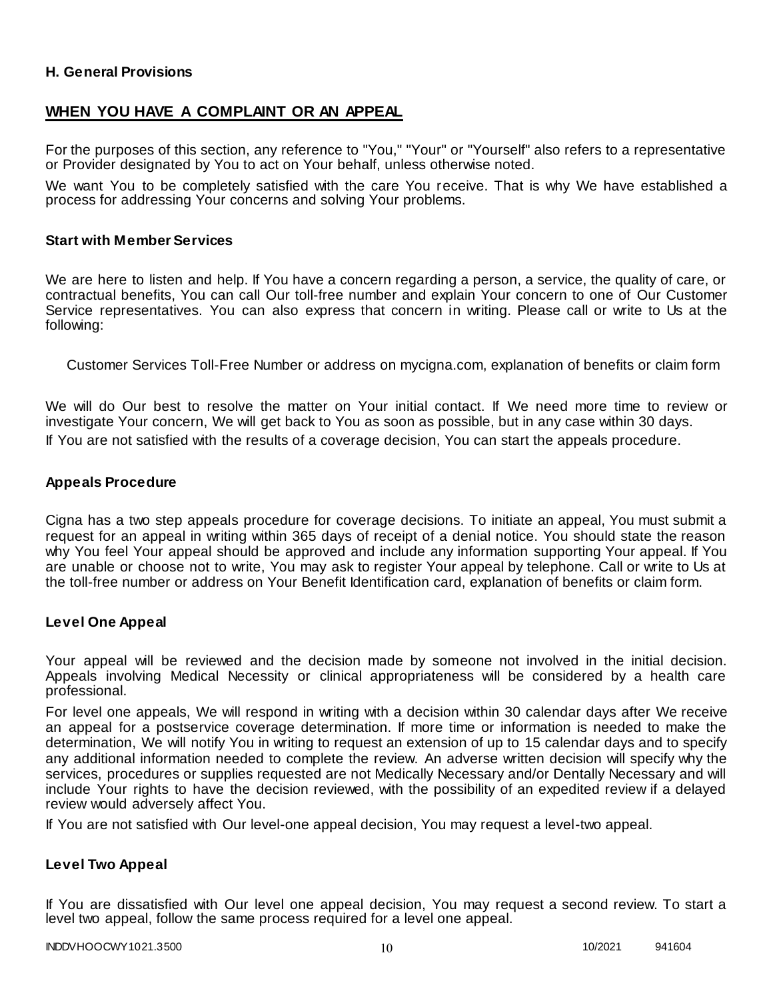## **H. General Provisions**

## **WHEN YOU HAVE A COMPLAINT OR AN APPEAL**

For the purposes of this section, any reference to "You," "Your" or "Yourself" also refers to a representative or Provider designated by You to act on Your behalf, unless otherwise noted.

We want You to be completely satisfied with the care You receive. That is why We have established a process for addressing Your concerns and solving Your problems.

#### **Start with Member Services**

We are here to listen and help. If You have a concern regarding a person, a service, the quality of care, or contractual benefits, You can call Our toll-free number and explain Your concern to one of Our Customer Service representatives. You can also express that concern in writing. Please call or write to Us at the following:

Customer Services Toll-Free Number or address on mycigna.com, explanation of benefits or claim form

We will do Our best to resolve the matter on Your initial contact. If We need more time to review or investigate Your concern, We will get back to You as soon as possible, but in any case within 30 days. If You are not satisfied with the results of a coverage decision, You can start the appeals procedure.

#### **Appeals Procedure**

Cigna has a two step appeals procedure for coverage decisions. To initiate an appeal, You must submit a request for an appeal in writing within 365 days of receipt of a denial notice. You should state the reason why You feel Your appeal should be approved and include any information supporting Your appeal. If You are unable or choose not to write, You may ask to register Your appeal by telephone. Call or write to Us at the toll-free number or address on Your Benefit Identification card, explanation of benefits or claim form.

#### **Level One Appeal**

Your appeal will be reviewed and the decision made by someone not involved in the initial decision. Appeals involving Medical Necessity or clinical appropriateness will be considered by a health care professional.

For level one appeals, We will respond in writing with a decision within 30 calendar days after We receive an appeal for a postservice coverage determination. If more time or information is needed to make the determination, We will notify You in writing to request an extension of up to 15 calendar days and to specify any additional information needed to complete the review. An adverse written decision will specify why the services, procedures or supplies requested are not Medically Necessary and/or Dentally Necessary and will include Your rights to have the decision reviewed, with the possibility of an expedited review if a delayed review would adversely affect You.

If You are not satisfied with Our level-one appeal decision, You may request a level-two appeal.

#### **Level Two Appeal**

If You are dissatisfied with Our level one appeal decision, You may request a second review. To start a level two appeal, follow the same process required for a level one appeal.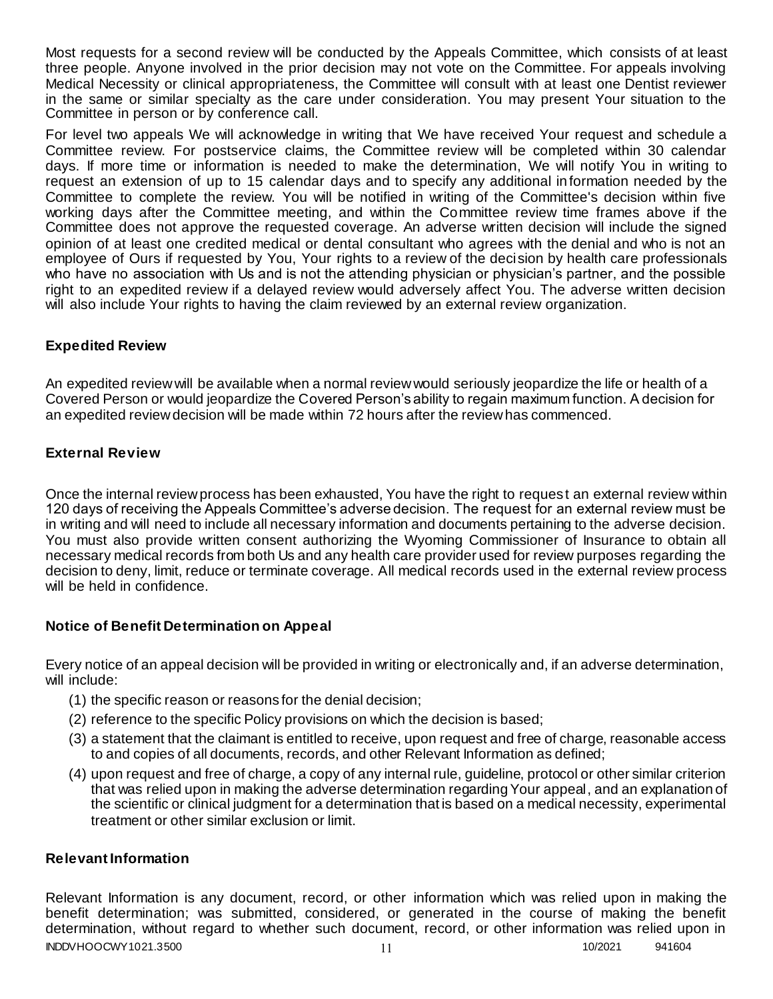Most requests for a second review will be conducted by the Appeals Committee, which consists of at least three people. Anyone involved in the prior decision may not vote on the Committee. For appeals involving Medical Necessity or clinical appropriateness, the Committee will consult with at least one Dentist reviewer in the same or similar specialty as the care under consideration. You may present Your situation to the Committee in person or by conference call.

For level two appeals We will acknowledge in writing that We have received Your request and schedule a Committee review. For postservice claims, the Committee review will be completed within 30 calendar days. If more time or information is needed to make the determination, We will notify You in writing to request an extension of up to 15 calendar days and to specify any additional information needed by the Committee to complete the review. You will be notified in writing of the Committee's decision within five working days after the Committee meeting, and within the Committee review time frames above if the Committee does not approve the requested coverage. An adverse written decision will include the signed opinion of at least one credited medical or dental consultant who agrees with the denial and who is not an employee of Ours if requested by You, Your rights to a review of the decision by health care professionals who have no association with Us and is not the attending physician or physician's partner, and the possible right to an expedited review if a delayed review would adversely affect You. The adverse written decision will also include Your rights to having the claim reviewed by an external review organization.

## **Expedited Review**

An expedited review will be available when a normal review would seriously jeopardize the life or health of a Covered Person or would jeopardize the Covered Person's ability to regain maximum function. A decision for an expedited review decision will be made within 72 hours after the review has commenced.

## **External Review**

Once the internal review process has been exhausted, You have the right to request an external review within 120 days of receiving the Appeals Committee's adverse decision. The request for an external review must be in writing and will need to include all necessary information and documents pertaining to the adverse decision. You must also provide written consent authorizing the Wyoming Commissioner of Insurance to obtain all necessary medical records from both Us and any health care provider used for review purposes regarding the decision to deny, limit, reduce or terminate coverage. All medical records used in the external review process will be held in confidence.

## **Notice of Benefit Determination on Appeal**

Every notice of an appeal decision will be provided in writing or electronically and, if an adverse determination, will include:

- (1) the specific reason or reasons for the denial decision;
- (2) reference to the specific Policy provisions on which the decision is based;
- (3) a statement that the claimant is entitled to receive, upon request and free of charge, reasonable access to and copies of all documents, records, and other Relevant Information as defined;
- (4) upon request and free of charge, a copy of any internal rule, guideline, protocol or other similar criterion that was relied upon in making the adverse determination regarding Your appeal, and an explanation of the scientific or clinical judgment for a determination that is based on a medical necessity, experimental treatment or other similar exclusion or limit.

## **Relevant Information**

INDDVHOOCWY1021.3500 10/2021 941604 Relevant Information is any document, record, or other information which was relied upon in making the benefit determination; was submitted, considered, or generated in the course of making the benefit determination, without regard to whether such document, record, or other information was relied upon in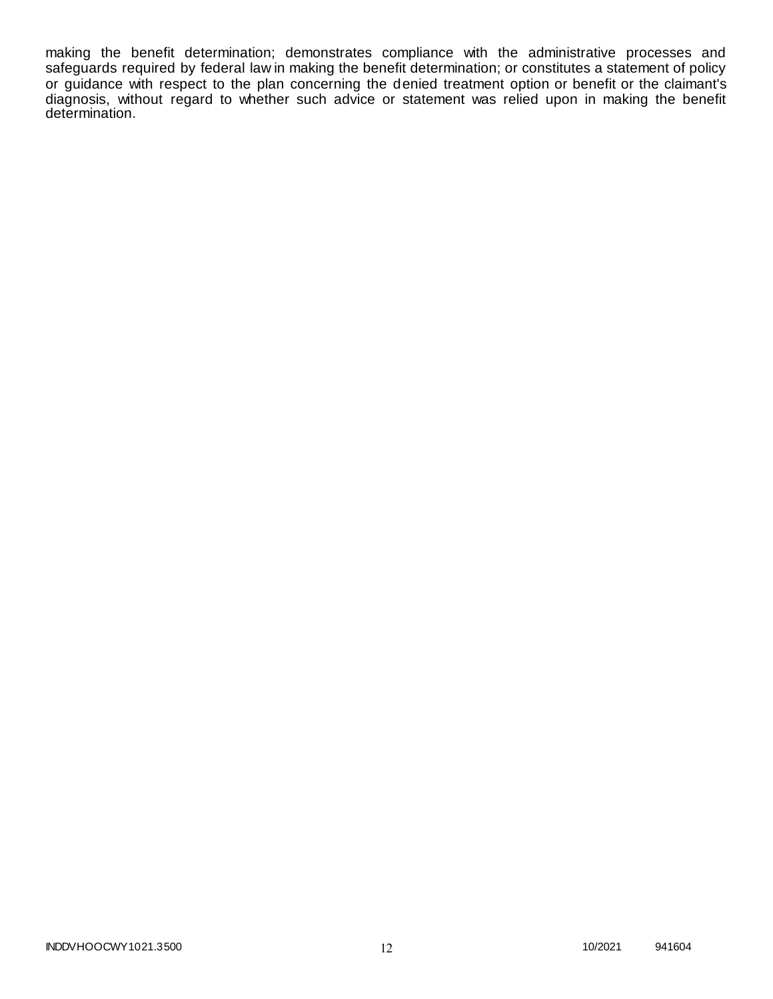making the benefit determination; demonstrates compliance with the administrative processes and safeguards required by federal law in making the benefit determination; or constitutes a statement of policy or guidance with respect to the plan concerning the denied treatment option or benefit or the claimant's diagnosis, without regard to whether such advice or statement was relied upon in making the benefit determination.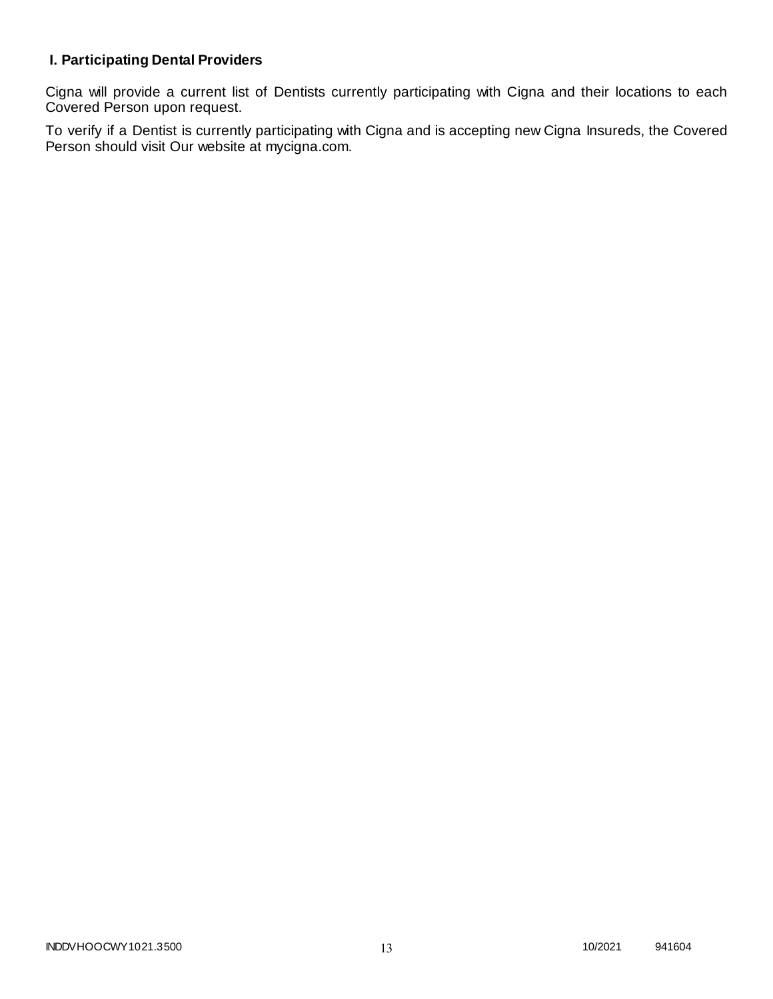# **I. Participating Dental Providers**

Cigna will provide a current list of Dentists currently participating with Cigna and their locations to each Covered Person upon request.

To verify if a Dentist is currently participating with Cigna and is accepting new Cigna Insureds, the Covered Person should visit Our website at mycigna.com.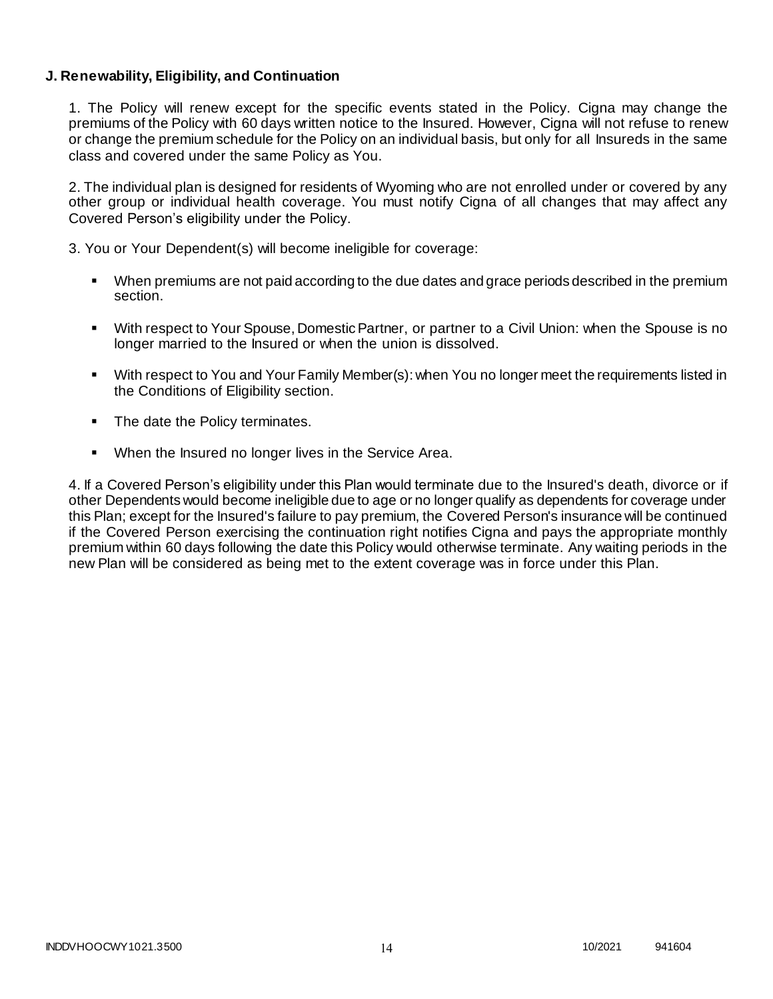## **J. Renewability, Eligibility, and Continuation**

1. The Policy will renew except for the specific events stated in the Policy. Cigna may change the premiums of the Policy with 60 days written notice to the Insured. However, Cigna will not refuse to renew or change the premium schedule for the Policy on an individual basis, but only for all Insureds in the same class and covered under the same Policy as You.

2. The individual plan is designed for residents of Wyoming who are not enrolled under or covered by any other group or individual health coverage. You must notify Cigna of all changes that may affect any Covered Person's eligibility under the Policy.

3. You or Your Dependent(s) will become ineligible for coverage:

- When premiums are not paid according to the due dates and grace periods described in the premium section.
- With respect to Your Spouse, Domestic Partner, or partner to a Civil Union: when the Spouse is no longer married to the Insured or when the union is dissolved.
- With respect to You and Your Family Member(s): when You no longer meet the requirements listed in the Conditions of Eligibility section.
- The date the Policy terminates.
- When the Insured no longer lives in the Service Area.

4. If a Covered Person's eligibility under this Plan would terminate due to the Insured's death, divorce or if other Dependents would become ineligible due to age or no longer qualify as dependents for coverage under this Plan; except for the Insured's failure to pay premium, the Covered Person's insurance will be continued if the Covered Person exercising the continuation right notifies Cigna and pays the appropriate monthly premium within 60 days following the date this Policy would otherwise terminate. Any waiting periods in the new Plan will be considered as being met to the extent coverage was in force under this Plan.